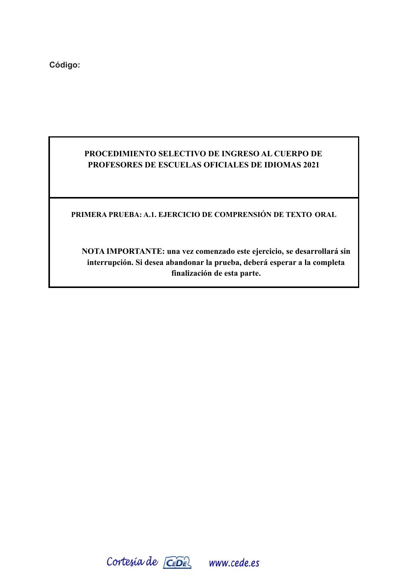**Código:**

## **PROCEDIMIENTO SELECTIVO DE INGRESO AL CUERPO DE PROFESORES DE ESCUELAS OFICIALES DE IDIOMAS 2021**

**PRIMERA PRUEBA: A.1. EJERCICIO DE COMPRENSIÓN DE TEXTO ORAL**

**NOTA IMPORTANTE: una vez comenzado este ejercicio, se desarrollará sin interrupción. Si desea abandonar la prueba, deberá esperar a la completa finalización de esta parte.**

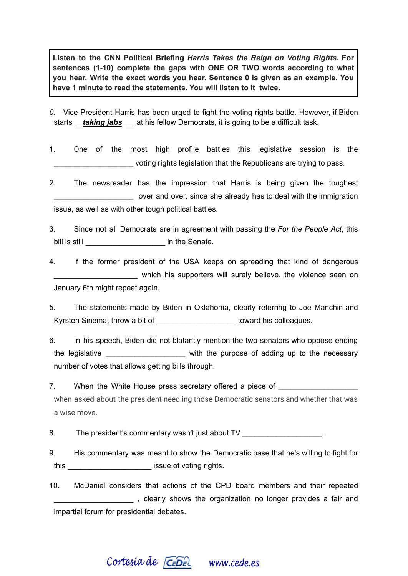**Listen to the CNN Political Briefing** *Harris Takes the Reign on Voting Rights.* **For sentences (1-10) complete the gaps with ONE OR TWO words according to what you hear. Write the exact words you hear. Sentence 0 is given as an example. You have 1 minute to read the statements. You will listen to it twice.**

- *0.* Vice President Harris has been urged to fight the voting rights battle. However, if Biden starts **taking jabs** at his fellow Democrats, it is going to be a difficult task.
- 1. One of the most high profile battles this legislative session is the \_\_\_\_\_\_\_\_\_\_\_\_\_\_\_\_\_\_\_ voting rights legislation that the Republicans are trying to pass.
- 2. The newsreader has the impression that Harris is being given the toughest \_\_\_\_\_\_\_\_\_\_\_\_\_\_\_\_\_\_\_ over and over, since she already has to deal with the immigration issue, as well as with other tough political battles.
- 3. Since not all Democrats are in agreement with passing the *For the People Act*, this bill is still **bill** is still **bill** is still **but a** in the Senate.
- 4. If the former president of the USA keeps on spreading that kind of dangerous which his supporters will surely believe, the violence seen on January 6th might repeat again.
- 5. The statements made by Biden in Oklahoma, clearly referring to Joe Manchin and Kyrsten Sinema, throw a bit of the state of the state of toward his colleagues.
- 6. In his speech, Biden did not blatantly mention the two senators who oppose ending the legislative \_\_\_\_\_\_\_\_\_\_\_\_\_\_\_\_\_\_\_\_\_\_ with the purpose of adding up to the necessary number of votes that allows getting bills through.
- 7. When the White House press secretary offered a piece of when asked about the president needling those Democratic senators and whether that was a wise move.

8. The president's commentary wasn't just about TV **The president's commentary wasn't** just about TV

- 9. His commentary was meant to show the Democratic base that he's willing to fight for this **the contract of the state of voting rights.**
- 10. McDaniel considers that actions of the CPD board members and their repeated \_\_\_\_\_\_\_\_\_\_\_\_\_\_\_\_\_\_\_ , clearly shows the organization no longer provides a fair and impartial forum for presidential debates.



www.cede.es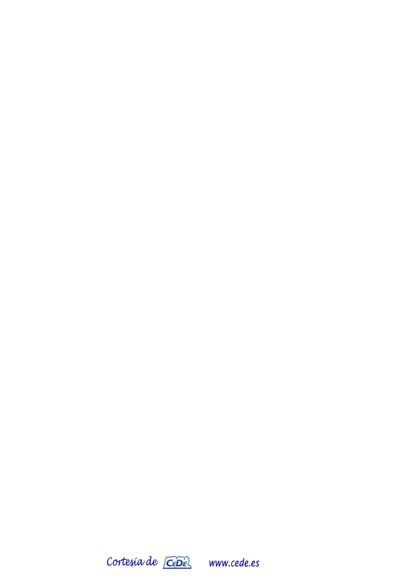Cortesia de CEDE www.cede.es